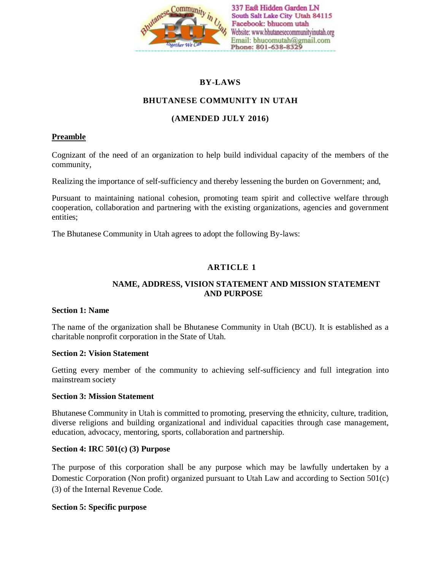

# **BY-LAWS**

# **BHUTANESE COMMUNITY IN UTAH**

## **(AMENDED JULY 2016)**

### **Preamble**

Cognizant of the need of an organization to help build individual capacity of the members of the community,

Realizing the importance of self-sufficiency and thereby lessening the burden on Government; and,

Pursuant to maintaining national cohesion, promoting team spirit and collective welfare through cooperation, collaboration and partnering with the existing organizations, agencies and government entities;

The Bhutanese Community in Utah agrees to adopt the following By-laws:

## **ARTICLE 1**

### **NAME, ADDRESS, VISION STATEMENT AND MISSION STATEMENT AND PURPOSE**

### **Section 1: Name**

The name of the organization shall be Bhutanese Community in Utah (BCU). It is established as a charitable nonprofit corporation in the State of Utah.

#### **Section 2: Vision Statement**

Getting every member of the community to achieving self-sufficiency and full integration into mainstream society

### **Section 3: Mission Statement**

Bhutanese Community in Utah is committed to promoting, preserving the ethnicity, culture, tradition, diverse religions and building organizational and individual capacities through case management, education, advocacy, mentoring, sports, collaboration and partnership.

#### **Section 4: IRC 501(c) (3) Purpose**

The purpose of this corporation shall be any purpose which may be lawfully undertaken by a Domestic Corporation (Non profit) organized pursuant to Utah Law and according to Section 501(c) (3) of the Internal Revenue Code.

### **Section 5: Specific purpose**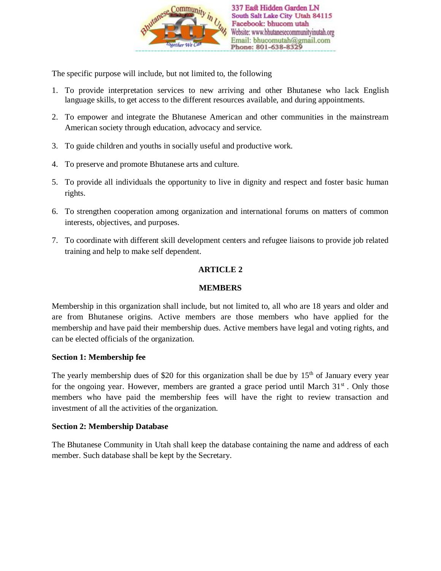

The specific purpose will include, but not limited to, the following

- 1. To provide interpretation services to new arriving and other Bhutanese who lack English language skills, to get access to the different resources available, and during appointments.
- 2. To empower and integrate the Bhutanese American and other communities in the mainstream American society through education, advocacy and service.
- 3. To guide children and youths in socially useful and productive work.
- 4. To preserve and promote Bhutanese arts and culture.
- 5. To provide all individuals the opportunity to live in dignity and respect and foster basic human rights.
- 6. To strengthen cooperation among organization and international forums on matters of common interests, objectives, and purposes.
- 7. To coordinate with different skill development centers and refugee liaisons to provide job related training and help to make self dependent.

## **ARTICLE 2**

### **MEMBERS**

Membership in this organization shall include, but not limited to, all who are 18 years and older and are from Bhutanese origins. Active members are those members who have applied for the membership and have paid their membership dues. Active members have legal and voting rights, and can be elected officials of the organization.

### **Section 1: Membership fee**

The yearly membership dues of \$20 for this organization shall be due by  $15<sup>th</sup>$  of January every year for the ongoing year. However, members are granted a grace period until March  $31<sup>st</sup>$ . Only those members who have paid the membership fees will have the right to review transaction and investment of all the activities of the organization.

### **Section 2: Membership Database**

The Bhutanese Community in Utah shall keep the database containing the name and address of each member. Such database shall be kept by the Secretary.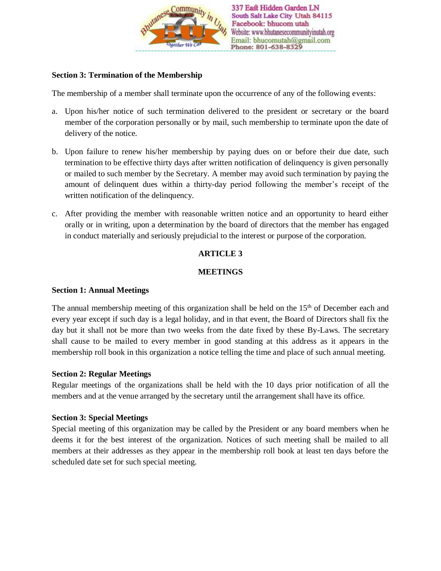

### **Section 3: Termination of the Membership**

The membership of a member shall terminate upon the occurrence of any of the following events:

- a. Upon his/her notice of such termination delivered to the president or secretary or the board member of the corporation personally or by mail, such membership to terminate upon the date of delivery of the notice.
- b. Upon failure to renew his/her membership by paying dues on or before their due date, such termination to be effective thirty days after written notification of delinquency is given personally or mailed to such member by the Secretary. A member may avoid such termination by paying the amount of delinquent dues within a thirty-day period following the member's receipt of the written notification of the delinquency.
- c. After providing the member with reasonable written notice and an opportunity to heard either orally or in writing, upon a determination by the board of directors that the member has engaged in conduct materially and seriously prejudicial to the interest or purpose of the corporation.

# **ARTICLE 3**

## **MEETINGS**

### **Section 1: Annual Meetings**

The annual membership meeting of this organization shall be held on the 15<sup>th</sup> of December each and every year except if such day is a legal holiday, and in that event, the Board of Directors shall fix the day but it shall not be more than two weeks from the date fixed by these By-Laws. The secretary shall cause to be mailed to every member in good standing at this address as it appears in the membership roll book in this organization a notice telling the time and place of such annual meeting.

### **Section 2: Regular Meetings**

Regular meetings of the organizations shall be held with the 10 days prior notification of all the members and at the venue arranged by the secretary until the arrangement shall have its office.

### **Section 3: Special Meetings**

Special meeting of this organization may be called by the President or any board members when he deems it for the best interest of the organization. Notices of such meeting shall be mailed to all members at their addresses as they appear in the membership roll book at least ten days before the scheduled date set for such special meeting.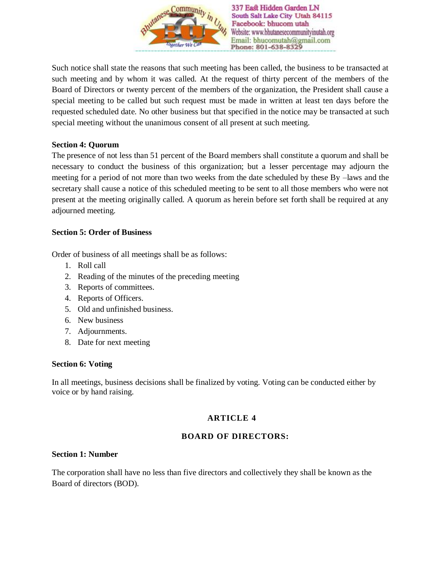

Such notice shall state the reasons that such meeting has been called, the business to be transacted at such meeting and by whom it was called. At the request of thirty percent of the members of the Board of Directors or twenty percent of the members of the organization, the President shall cause a special meeting to be called but such request must be made in written at least ten days before the requested scheduled date. No other business but that specified in the notice may be transacted at such special meeting without the unanimous consent of all present at such meeting.

#### **Section 4: Quorum**

The presence of not less than 51 percent of the Board members shall constitute a quorum and shall be necessary to conduct the business of this organization; but a lesser percentage may adjourn the meeting for a period of not more than two weeks from the date scheduled by these By –laws and the secretary shall cause a notice of this scheduled meeting to be sent to all those members who were not present at the meeting originally called. A quorum as herein before set forth shall be required at any adjourned meeting.

### **Section 5: Order of Business**

Order of business of all meetings shall be as follows:

- 1. Roll call
- 2. Reading of the minutes of the preceding meeting
- 3. Reports of committees.
- 4. Reports of Officers.
- 5. Old and unfinished business.
- 6. New business
- 7. Adjournments.
- 8. Date for next meeting

#### **Section 6: Voting**

In all meetings, business decisions shall be finalized by voting. Voting can be conducted either by voice or by hand raising.

## **ARTICLE 4**

### **BOARD OF DIRECTORS:**

#### **Section 1: Number**

The corporation shall have no less than five directors and collectively they shall be known as the Board of directors (BOD).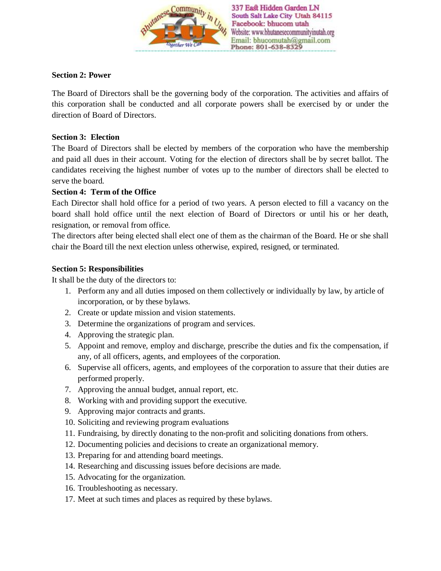

### **Section 2: Power**

The Board of Directors shall be the governing body of the corporation. The activities and affairs of this corporation shall be conducted and all corporate powers shall be exercised by or under the direction of Board of Directors.

### **Section 3: Election**

The Board of Directors shall be elected by members of the corporation who have the membership and paid all dues in their account. Voting for the election of directors shall be by secret ballot. The candidates receiving the highest number of votes up to the number of directors shall be elected to serve the board.

### **Section 4: Term of the Office**

Each Director shall hold office for a period of two years. A person elected to fill a vacancy on the board shall hold office until the next election of Board of Directors or until his or her death, resignation, or removal from office.

The directors after being elected shall elect one of them as the chairman of the Board. He or she shall chair the Board till the next election unless otherwise, expired, resigned, or terminated.

### **Section 5: Responsibilities**

It shall be the duty of the directors to:

- 1. Perform any and all duties imposed on them collectively or individually by law, by article of incorporation, or by these bylaws.
- 2. Create or update mission and vision statements.
- 3. Determine the organizations of program and services.
- 4. Approving the strategic plan.
- 5. Appoint and remove, employ and discharge, prescribe the duties and fix the compensation, if any, of all officers, agents, and employees of the corporation.
- 6. Supervise all officers, agents, and employees of the corporation to assure that their duties are performed properly.
- 7. Approving the annual budget, annual report, etc.
- 8. Working with and providing support the executive.
- 9. Approving major contracts and grants.
- 10. Soliciting and reviewing program evaluations
- 11. Fundraising, by directly donating to the non-profit and soliciting donations from others.
- 12. Documenting policies and decisions to create an organizational memory.
- 13. Preparing for and attending board meetings.
- 14. Researching and discussing issues before decisions are made.
- 15. Advocating for the organization.
- 16. Troubleshooting as necessary.
- 17. Meet at such times and places as required by these bylaws.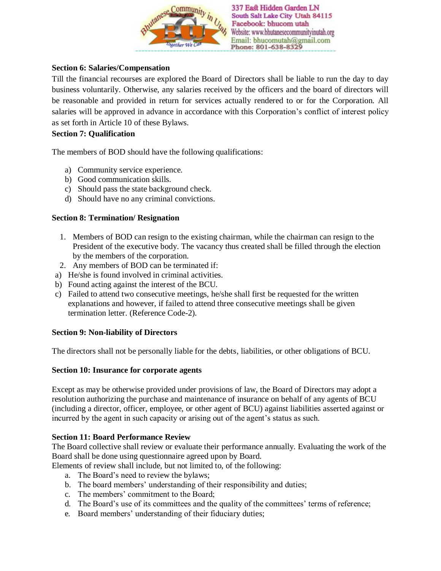

### **Section 6: Salaries/Compensation**

Till the financial recourses are explored the Board of Directors shall be liable to run the day to day business voluntarily. Otherwise, any salaries received by the officers and the board of directors will be reasonable and provided in return for services actually rendered to or for the Corporation. All salaries will be approved in advance in accordance with this Corporation's conflict of interest policy as set forth in Article 10 of these Bylaws.

#### **Section 7: Qualification**

The members of BOD should have the following qualifications:

- a) Community service experience.
- b) Good communication skills.
- c) Should pass the state background check.
- d) Should have no any criminal convictions.

#### **Section 8: Termination/ Resignation**

- 1. Members of BOD can resign to the existing chairman, while the chairman can resign to the President of the executive body. The vacancy thus created shall be filled through the election by the members of the corporation.
- 2. Any members of BOD can be terminated if:
- a) He/she is found involved in criminal activities.
- b) Found acting against the interest of the BCU.
- c) Failed to attend two consecutive meetings, he/she shall first be requested for the written explanations and however, if failed to attend three consecutive meetings shall be given termination letter. (Reference Code-2).

#### **Section 9: Non-liability of Directors**

The directors shall not be personally liable for the debts, liabilities, or other obligations of BCU.

#### **Section 10: Insurance for corporate agents**

Except as may be otherwise provided under provisions of law, the Board of Directors may adopt a resolution authorizing the purchase and maintenance of insurance on behalf of any agents of BCU (including a director, officer, employee, or other agent of BCU) against liabilities asserted against or incurred by the agent in such capacity or arising out of the agent's status as such.

### **Section 11: Board Performance Review**

The Board collective shall review or evaluate their performance annually. Evaluating the work of the Board shall be done using questionnaire agreed upon by Board.

Elements of review shall include, but not limited to, of the following:

- a. The Board's need to review the bylaws;
- b. The board members' understanding of their responsibility and duties;
- c. The members' commitment to the Board;
- d. The Board's use of its committees and the quality of the committees' terms of reference;
- e. Board members' understanding of their fiduciary duties;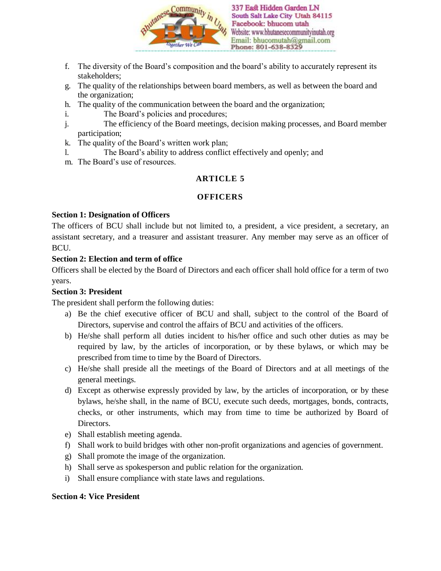

- f. The diversity of the Board's composition and the board's ability to accurately represent its stakeholders;
- g. The quality of the relationships between board members, as well as between the board and the organization;
- h. The quality of the communication between the board and the organization;
- i. The Board's policies and procedures;
- j. The efficiency of the Board meetings, decision making processes, and Board member participation;
- k. The quality of the Board's written work plan;
- l. The Board's ability to address conflict effectively and openly; and
- m. The Board's use of resources.

# **ARTICLE 5**

# **OFFICERS**

## **Section 1: Designation of Officers**

The officers of BCU shall include but not limited to, a president, a vice president, a secretary, an assistant secretary, and a treasurer and assistant treasurer. Any member may serve as an officer of **BCU** 

## **Section 2: Election and term of office**

Officers shall be elected by the Board of Directors and each officer shall hold office for a term of two years.

# **Section 3: President**

The president shall perform the following duties:

- a) Be the chief executive officer of BCU and shall, subject to the control of the Board of Directors, supervise and control the affairs of BCU and activities of the officers.
- b) He/she shall perform all duties incident to his/her office and such other duties as may be required by law, by the articles of incorporation, or by these bylaws, or which may be prescribed from time to time by the Board of Directors.
- c) He/she shall preside all the meetings of the Board of Directors and at all meetings of the general meetings.
- d) Except as otherwise expressly provided by law, by the articles of incorporation, or by these bylaws, he/she shall, in the name of BCU, execute such deeds, mortgages, bonds, contracts, checks, or other instruments, which may from time to time be authorized by Board of Directors.
- e) Shall establish meeting agenda.
- f) Shall work to build bridges with other non-profit organizations and agencies of government.
- g) Shall promote the image of the organization.
- h) Shall serve as spokesperson and public relation for the organization.
- i) Shall ensure compliance with state laws and regulations.

## **Section 4: Vice President**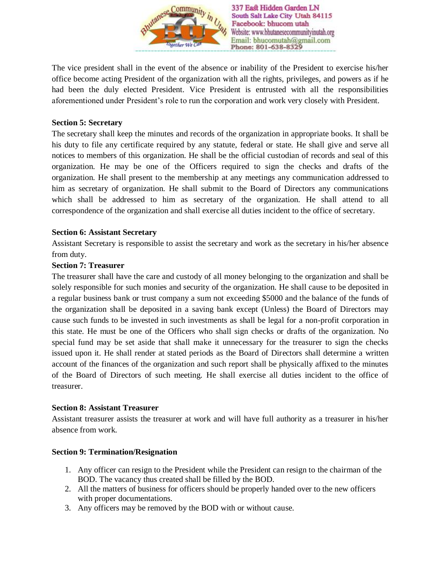

The vice president shall in the event of the absence or inability of the President to exercise his/her office become acting President of the organization with all the rights, privileges, and powers as if he had been the duly elected President. Vice President is entrusted with all the responsibilities aforementioned under President's role to run the corporation and work very closely with President.

### **Section 5: Secretary**

The secretary shall keep the minutes and records of the organization in appropriate books. It shall be his duty to file any certificate required by any statute, federal or state. He shall give and serve all notices to members of this organization. He shall be the official custodian of records and seal of this organization. He may be one of the Officers required to sign the checks and drafts of the organization. He shall present to the membership at any meetings any communication addressed to him as secretary of organization. He shall submit to the Board of Directors any communications which shall be addressed to him as secretary of the organization. He shall attend to all correspondence of the organization and shall exercise all duties incident to the office of secretary.

### **Section 6: Assistant Secretary**

Assistant Secretary is responsible to assist the secretary and work as the secretary in his/her absence from duty.

### **Section 7: Treasurer**

The treasurer shall have the care and custody of all money belonging to the organization and shall be solely responsible for such monies and security of the organization. He shall cause to be deposited in a regular business bank or trust company a sum not exceeding \$5000 and the balance of the funds of the organization shall be deposited in a saving bank except (Unless) the Board of Directors may cause such funds to be invested in such investments as shall be legal for a non-profit corporation in this state. He must be one of the Officers who shall sign checks or drafts of the organization. No special fund may be set aside that shall make it unnecessary for the treasurer to sign the checks issued upon it. He shall render at stated periods as the Board of Directors shall determine a written account of the finances of the organization and such report shall be physically affixed to the minutes of the Board of Directors of such meeting. He shall exercise all duties incident to the office of treasurer.

### **Section 8: Assistant Treasurer**

Assistant treasurer assists the treasurer at work and will have full authority as a treasurer in his/her absence from work.

### **Section 9: Termination/Resignation**

- 1. Any officer can resign to the President while the President can resign to the chairman of the BOD. The vacancy thus created shall be filled by the BOD.
- 2. All the matters of business for officers should be properly handed over to the new officers with proper documentations.
- 3. Any officers may be removed by the BOD with or without cause.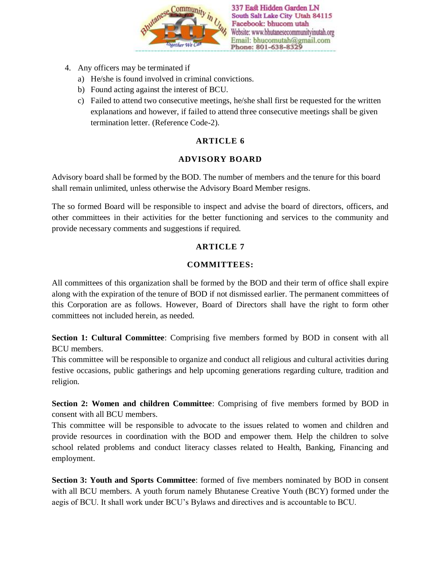

- 4. Any officers may be terminated if
	- a) He/she is found involved in criminal convictions.
	- b) Found acting against the interest of BCU.
	- c) Failed to attend two consecutive meetings, he/she shall first be requested for the written explanations and however, if failed to attend three consecutive meetings shall be given termination letter. (Reference Code-2).

### **ARTICLE 6**

### **ADVISORY BOARD**

Advisory board shall be formed by the BOD. The number of members and the tenure for this board shall remain unlimited, unless otherwise the Advisory Board Member resigns.

The so formed Board will be responsible to inspect and advise the board of directors, officers, and other committees in their activities for the better functioning and services to the community and provide necessary comments and suggestions if required.

### **ARTICLE 7**

#### **COMMITTEES:**

All committees of this organization shall be formed by the BOD and their term of office shall expire along with the expiration of the tenure of BOD if not dismissed earlier. The permanent committees of this Corporation are as follows. However, Board of Directors shall have the right to form other committees not included herein, as needed.

**Section 1: Cultural Committee**: Comprising five members formed by BOD in consent with all BCU members.

This committee will be responsible to organize and conduct all religious and cultural activities during festive occasions, public gatherings and help upcoming generations regarding culture, tradition and religion.

**Section 2: Women and children Committee**: Comprising of five members formed by BOD in consent with all BCU members.

This committee will be responsible to advocate to the issues related to women and children and provide resources in coordination with the BOD and empower them. Help the children to solve school related problems and conduct literacy classes related to Health, Banking, Financing and employment.

**Section 3: Youth and Sports Committee**: formed of five members nominated by BOD in consent with all BCU members. A youth forum namely Bhutanese Creative Youth (BCY) formed under the aegis of BCU. It shall work under BCU's Bylaws and directives and is accountable to BCU.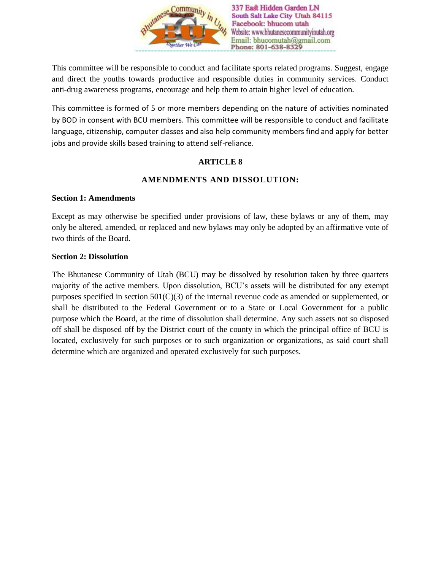

This committee will be responsible to conduct and facilitate sports related programs. Suggest, engage and direct the youths towards productive and responsible duties in community services. Conduct anti-drug awareness programs, encourage and help them to attain higher level of education.

This committee is formed of 5 or more members depending on the nature of activities nominated by BOD in consent with BCU members. This committee will be responsible to conduct and facilitate language, citizenship, computer classes and also help community members find and apply for better jobs and provide skills based training to attend self-reliance.

### **ARTICLE 8**

## **AMENDMENTS AND DISSOLUTION:**

### **Section 1: Amendments**

Except as may otherwise be specified under provisions of law, these bylaws or any of them, may only be altered, amended, or replaced and new bylaws may only be adopted by an affirmative vote of two thirds of the Board.

#### **Section 2: Dissolution**

The Bhutanese Community of Utah (BCU) may be dissolved by resolution taken by three quarters majority of the active members. Upon dissolution, BCU's assets will be distributed for any exempt purposes specified in section  $501(C)(3)$  of the internal revenue code as amended or supplemented, or shall be distributed to the Federal Government or to a State or Local Government for a public purpose which the Board, at the time of dissolution shall determine. Any such assets not so disposed off shall be disposed off by the District court of the county in which the principal office of BCU is located, exclusively for such purposes or to such organization or organizations, as said court shall determine which are organized and operated exclusively for such purposes.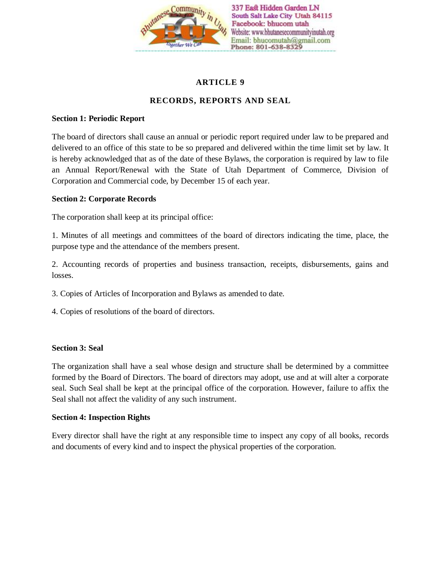

# **ARTICLE 9**

## **RECORDS, REPORTS AND SEAL**

### **Section 1: Periodic Report**

The board of directors shall cause an annual or periodic report required under law to be prepared and delivered to an office of this state to be so prepared and delivered within the time limit set by law. It is hereby acknowledged that as of the date of these Bylaws, the corporation is required by law to file an Annual Report/Renewal with the State of Utah Department of Commerce, Division of Corporation and Commercial code, by December 15 of each year.

### **Section 2: Corporate Records**

The corporation shall keep at its principal office:

1. Minutes of all meetings and committees of the board of directors indicating the time, place, the purpose type and the attendance of the members present.

2. Accounting records of properties and business transaction, receipts, disbursements, gains and losses.

- 3. Copies of Articles of Incorporation and Bylaws as amended to date.
- 4. Copies of resolutions of the board of directors.

### **Section 3: Seal**

The organization shall have a seal whose design and structure shall be determined by a committee formed by the Board of Directors. The board of directors may adopt, use and at will alter a corporate seal. Such Seal shall be kept at the principal office of the corporation. However, failure to affix the Seal shall not affect the validity of any such instrument.

### **Section 4: Inspection Rights**

Every director shall have the right at any responsible time to inspect any copy of all books, records and documents of every kind and to inspect the physical properties of the corporation.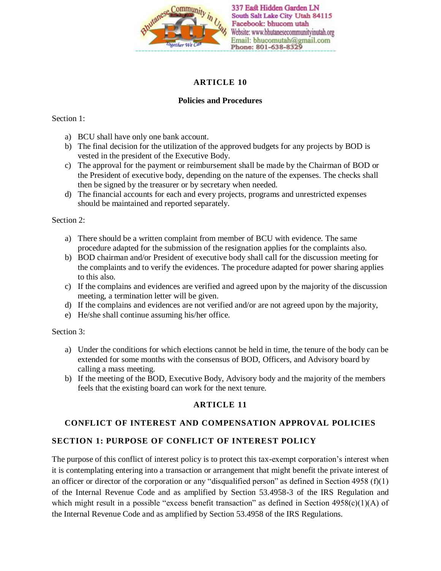

### **ARTICLE 10**

### **Policies and Procedures**

### Section 1:

- a) BCU shall have only one bank account.
- b) The final decision for the utilization of the approved budgets for any projects by BOD is vested in the president of the Executive Body.
- c) The approval for the payment or reimbursement shall be made by the Chairman of BOD or the President of executive body, depending on the nature of the expenses. The checks shall then be signed by the treasurer or by secretary when needed.
- d) The financial accounts for each and every projects, programs and unrestricted expenses should be maintained and reported separately.

#### Section 2:

- a) There should be a written complaint from member of BCU with evidence. The same procedure adapted for the submission of the resignation applies for the complaints also.
- b) BOD chairman and/or President of executive body shall call for the discussion meeting for the complaints and to verify the evidences. The procedure adapted for power sharing applies to this also.
- c) If the complains and evidences are verified and agreed upon by the majority of the discussion meeting, a termination letter will be given.
- d) If the complains and evidences are not verified and/or are not agreed upon by the majority,
- e) He/she shall continue assuming his/her office.

#### Section 3:

- a) Under the conditions for which elections cannot be held in time, the tenure of the body can be extended for some months with the consensus of BOD, Officers, and Advisory board by calling a mass meeting.
- b) If the meeting of the BOD, Executive Body, Advisory body and the majority of the members feels that the existing board can work for the next tenure.

## **ARTICLE 11**

### **CONFLICT OF INTEREST AND COMPENSATION APPROVAL POLICIES**

### **SECTION 1: PURPOSE OF CONFLICT OF INTEREST POLICY**

The purpose of this conflict of interest policy is to protect this tax-exempt corporation's interest when it is contemplating entering into a transaction or arrangement that might benefit the private interest of an officer or director of the corporation or any "disqualified person" as defined in Section 4958 (f)(1) of the Internal Revenue Code and as amplified by Section 53.4958-3 of the IRS Regulation and which might result in a possible "excess benefit transaction" as defined in Section 4958(c)(1)(A) of the Internal Revenue Code and as amplified by Section 53.4958 of the IRS Regulations.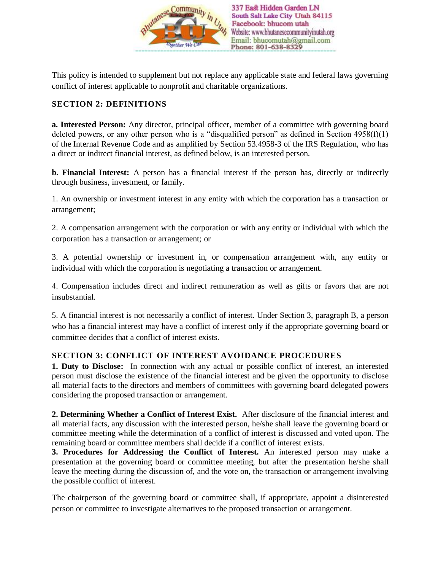

This policy is intended to supplement but not replace any applicable state and federal laws governing conflict of interest applicable to nonprofit and charitable organizations.

### **SECTION 2: DEFINITIONS**

**a. Interested Person:** Any director, principal officer, member of a committee with governing board deleted powers, or any other person who is a "disqualified person" as defined in Section  $4958(f)(1)$ of the Internal Revenue Code and as amplified by Section 53.4958-3 of the IRS Regulation, who has a direct or indirect financial interest, as defined below, is an interested person.

**b. Financial Interest:** A person has a financial interest if the person has, directly or indirectly through business, investment, or family.

1. An ownership or investment interest in any entity with which the corporation has a transaction or arrangement;

2. A compensation arrangement with the corporation or with any entity or individual with which the corporation has a transaction or arrangement; or

3. A potential ownership or investment in, or compensation arrangement with, any entity or individual with which the corporation is negotiating a transaction or arrangement.

4. Compensation includes direct and indirect remuneration as well as gifts or favors that are not insubstantial.

5. A financial interest is not necessarily a conflict of interest. Under Section 3, paragraph B, a person who has a financial interest may have a conflict of interest only if the appropriate governing board or committee decides that a conflict of interest exists.

## **SECTION 3: CONFLICT OF INTEREST AVOIDANCE PROCEDURES**

**1. Duty to Disclose:** In connection with any actual or possible conflict of interest, an interested person must disclose the existence of the financial interest and be given the opportunity to disclose all material facts to the directors and members of committees with governing board delegated powers considering the proposed transaction or arrangement.

**2. Determining Whether a Conflict of Interest Exist.** After disclosure of the financial interest and all material facts, any discussion with the interested person, he/she shall leave the governing board or committee meeting while the determination of a conflict of interest is discussed and voted upon. The remaining board or committee members shall decide if a conflict of interest exists.

**3. Procedures for Addressing the Conflict of Interest.** An interested person may make a presentation at the governing board or committee meeting, but after the presentation he/she shall leave the meeting during the discussion of, and the vote on, the transaction or arrangement involving the possible conflict of interest.

The chairperson of the governing board or committee shall, if appropriate, appoint a disinterested person or committee to investigate alternatives to the proposed transaction or arrangement.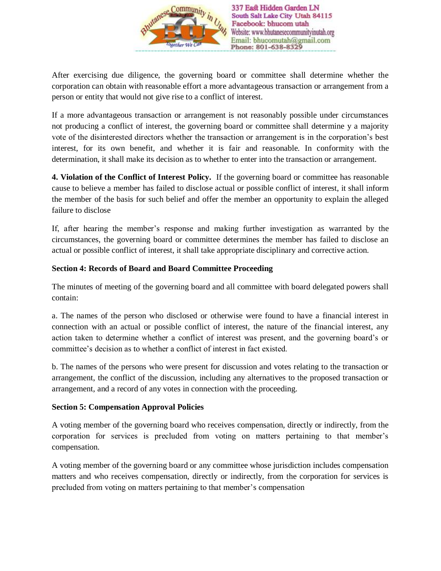

After exercising due diligence, the governing board or committee shall determine whether the corporation can obtain with reasonable effort a more advantageous transaction or arrangement from a person or entity that would not give rise to a conflict of interest.

If a more advantageous transaction or arrangement is not reasonably possible under circumstances not producing a conflict of interest, the governing board or committee shall determine y a majority vote of the disinterested directors whether the transaction or arrangement is in the corporation's best interest, for its own benefit, and whether it is fair and reasonable. In conformity with the determination, it shall make its decision as to whether to enter into the transaction or arrangement.

**4. Violation of the Conflict of Interest Policy.** If the governing board or committee has reasonable cause to believe a member has failed to disclose actual or possible conflict of interest, it shall inform the member of the basis for such belief and offer the member an opportunity to explain the alleged failure to disclose

If, after hearing the member's response and making further investigation as warranted by the circumstances, the governing board or committee determines the member has failed to disclose an actual or possible conflict of interest, it shall take appropriate disciplinary and corrective action.

### **Section 4: Records of Board and Board Committee Proceeding**

The minutes of meeting of the governing board and all committee with board delegated powers shall contain:

a. The names of the person who disclosed or otherwise were found to have a financial interest in connection with an actual or possible conflict of interest, the nature of the financial interest, any action taken to determine whether a conflict of interest was present, and the governing board's or committee's decision as to whether a conflict of interest in fact existed.

b. The names of the persons who were present for discussion and votes relating to the transaction or arrangement, the conflict of the discussion, including any alternatives to the proposed transaction or arrangement, and a record of any votes in connection with the proceeding.

### **Section 5: Compensation Approval Policies**

A voting member of the governing board who receives compensation, directly or indirectly, from the corporation for services is precluded from voting on matters pertaining to that member's compensation.

A voting member of the governing board or any committee whose jurisdiction includes compensation matters and who receives compensation, directly or indirectly, from the corporation for services is precluded from voting on matters pertaining to that member's compensation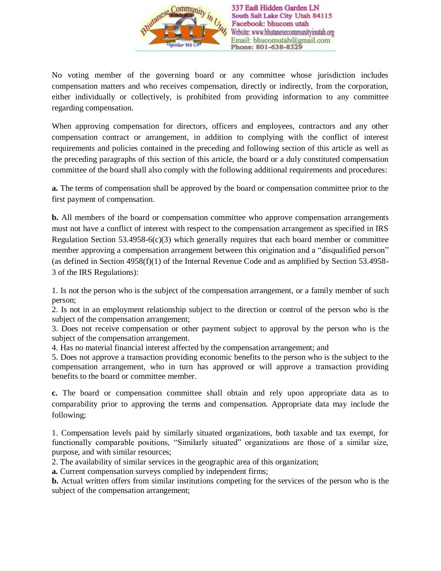

No voting member of the governing board or any committee whose jurisdiction includes compensation matters and who receives compensation, directly or indirectly, from the corporation, either individually or collectively, is prohibited from providing information to any committee regarding compensation.

When approving compensation for directors, officers and employees, contractors and any other compensation contract or arrangement, in addition to complying with the conflict of interest requirements and policies contained in the preceding and following section of this article as well as the preceding paragraphs of this section of this article, the board or a duly constituted compensation committee of the board shall also comply with the following additional requirements and procedures:

**a.** The terms of compensation shall be approved by the board or compensation committee prior to the first payment of compensation.

**b.** All members of the board or compensation committee who approve compensation arrangements must not have a conflict of interest with respect to the compensation arrangement as specified in IRS Regulation Section 53.4958-6(c)(3) which generally requires that each board member or committee member approving a compensation arrangement between this origination and a "disqualified person" (as defined in Section 4958(f)(1) of the Internal Revenue Code and as amplified by Section 53.4958- 3 of the IRS Regulations):

1. Is not the person who is the subject of the compensation arrangement, or a family member of such person;

2. Is not in an employment relationship subject to the direction or control of the person who is the subject of the compensation arrangement;

3. Does not receive compensation or other payment subject to approval by the person who is the subject of the compensation arrangement.

4. Has no material financial interest affected by the compensation arrangement; and

5. Does not approve a transaction providing economic benefits to the person who is the subject to the compensation arrangement, who in turn has approved or will approve a transaction providing benefits to the board or committee member.

**c.** The board or compensation committee shall obtain and rely upon appropriate data as to comparability prior to approving the terms and compensation. Appropriate data may include the following;

1. Compensation levels paid by similarly situated organizations, both taxable and tax exempt, for functionally comparable positions, "Similarly situated" organizations are those of a similar size, purpose, and with similar resources;

2. The availability of similar services in the geographic area of this organization;

**a.** Current compensation surveys complied by independent firms;

**b.** Actual written offers from similar institutions competing for the services of the person who is the subject of the compensation arrangement;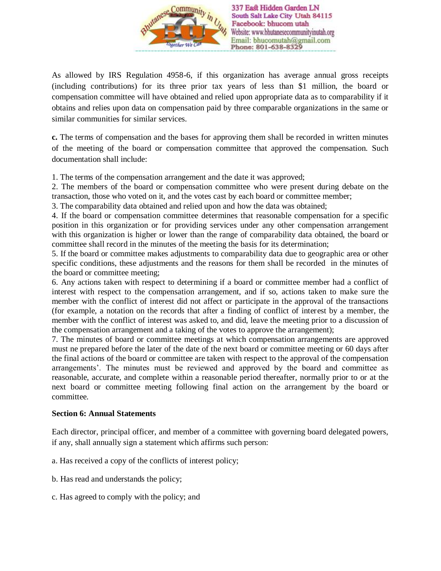

As allowed by IRS Regulation 4958-6, if this organization has average annual gross receipts (including contributions) for its three prior tax years of less than \$1 million, the board or compensation committee will have obtained and relied upon appropriate data as to comparability if it obtains and relies upon data on compensation paid by three comparable organizations in the same or similar communities for similar services.

**c.** The terms of compensation and the bases for approving them shall be recorded in written minutes of the meeting of the board or compensation committee that approved the compensation. Such documentation shall include:

1. The terms of the compensation arrangement and the date it was approved;

2. The members of the board or compensation committee who were present during debate on the transaction, those who voted on it, and the votes cast by each board or committee member;

3. The comparability data obtained and relied upon and how the data was obtained;

4. If the board or compensation committee determines that reasonable compensation for a specific position in this organization or for providing services under any other compensation arrangement with this organization is higher or lower than the range of comparability data obtained, the board or committee shall record in the minutes of the meeting the basis for its determination;

5. If the board or committee makes adjustments to comparability data due to geographic area or other specific conditions, these adjustments and the reasons for them shall be recorded in the minutes of the board or committee meeting;

6. Any actions taken with respect to determining if a board or committee member had a conflict of interest with respect to the compensation arrangement, and if so, actions taken to make sure the member with the conflict of interest did not affect or participate in the approval of the transactions (for example, a notation on the records that after a finding of conflict of interest by a member, the member with the conflict of interest was asked to, and did, leave the meeting prior to a discussion of the compensation arrangement and a taking of the votes to approve the arrangement);

7. The minutes of board or committee meetings at which compensation arrangements are approved must ne prepared before the later of the date of the next board or committee meeting or 60 days after the final actions of the board or committee are taken with respect to the approval of the compensation arrangements'. The minutes must be reviewed and approved by the board and committee as reasonable, accurate, and complete within a reasonable period thereafter, normally prior to or at the next board or committee meeting following final action on the arrangement by the board or committee.

#### **Section 6: Annual Statements**

Each director, principal officer, and member of a committee with governing board delegated powers, if any, shall annually sign a statement which affirms such person:

- a. Has received a copy of the conflicts of interest policy;
- b. Has read and understands the policy;
- c. Has agreed to comply with the policy; and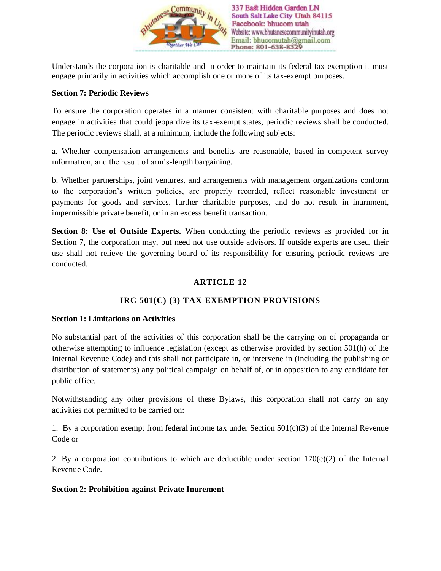

Understands the corporation is charitable and in order to maintain its federal tax exemption it must engage primarily in activities which accomplish one or more of its tax-exempt purposes.

### **Section 7: Periodic Reviews**

To ensure the corporation operates in a manner consistent with charitable purposes and does not engage in activities that could jeopardize its tax-exempt states, periodic reviews shall be conducted. The periodic reviews shall, at a minimum, include the following subjects:

a. Whether compensation arrangements and benefits are reasonable, based in competent survey information, and the result of arm's-length bargaining.

b. Whether partnerships, joint ventures, and arrangements with management organizations conform to the corporation's written policies, are properly recorded, reflect reasonable investment or payments for goods and services, further charitable purposes, and do not result in inurnment, impermissible private benefit, or in an excess benefit transaction.

**Section 8: Use of Outside Experts.** When conducting the periodic reviews as provided for in Section 7, the corporation may, but need not use outside advisors. If outside experts are used, their use shall not relieve the governing board of its responsibility for ensuring periodic reviews are conducted.

# **ARTICLE 12**

# **IRC 501(C) (3) TAX EXEMPTION PROVISIONS**

### **Section 1: Limitations on Activities**

No substantial part of the activities of this corporation shall be the carrying on of propaganda or otherwise attempting to influence legislation (except as otherwise provided by section 501(h) of the Internal Revenue Code) and this shall not participate in, or intervene in (including the publishing or distribution of statements) any political campaign on behalf of, or in opposition to any candidate for public office.

Notwithstanding any other provisions of these Bylaws, this corporation shall not carry on any activities not permitted to be carried on:

1. By a corporation exempt from federal income tax under Section  $501(c)(3)$  of the Internal Revenue Code or

2. By a corporation contributions to which are deductible under section  $170(c)(2)$  of the Internal Revenue Code.

### **Section 2: Prohibition against Private Inurement**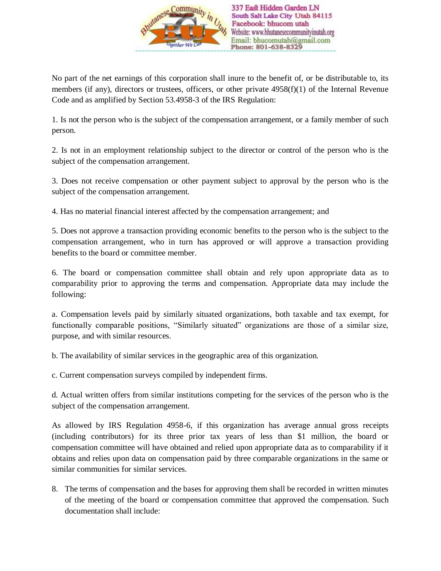

No part of the net earnings of this corporation shall inure to the benefit of, or be distributable to, its members (if any), directors or trustees, officers, or other private 4958(f)(1) of the Internal Revenue Code and as amplified by Section 53.4958-3 of the IRS Regulation:

1. Is not the person who is the subject of the compensation arrangement, or a family member of such person.

2. Is not in an employment relationship subject to the director or control of the person who is the subject of the compensation arrangement.

3. Does not receive compensation or other payment subject to approval by the person who is the subject of the compensation arrangement.

4. Has no material financial interest affected by the compensation arrangement; and

5. Does not approve a transaction providing economic benefits to the person who is the subject to the compensation arrangement, who in turn has approved or will approve a transaction providing benefits to the board or committee member.

6. The board or compensation committee shall obtain and rely upon appropriate data as to comparability prior to approving the terms and compensation. Appropriate data may include the following:

a. Compensation levels paid by similarly situated organizations, both taxable and tax exempt, for functionally comparable positions, "Similarly situated" organizations are those of a similar size, purpose, and with similar resources.

b. The availability of similar services in the geographic area of this organization.

c. Current compensation surveys compiled by independent firms.

d. Actual written offers from similar institutions competing for the services of the person who is the subject of the compensation arrangement.

As allowed by IRS Regulation 4958-6, if this organization has average annual gross receipts (including contributors) for its three prior tax years of less than \$1 million, the board or compensation committee will have obtained and relied upon appropriate data as to comparability if it obtains and relies upon data on compensation paid by three comparable organizations in the same or similar communities for similar services.

8. The terms of compensation and the bases for approving them shall be recorded in written minutes of the meeting of the board or compensation committee that approved the compensation. Such documentation shall include: